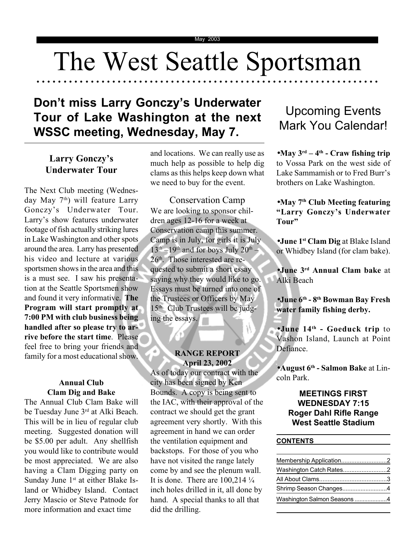## The West Seattle Sportsman

○○○○○○○○○ ○○○○○○○○○○○○○○○○○○○○○○○○○○○○○○○○○○○○○○○○○○○○○○○○○○○○○○○

## **Don't miss Larry Gonczy's Underwater Tour of Lake Washington at the next WSSC meeting, Wednesday, May 7.**

## **Larry Gonczy's Underwater Tour**

The Next Club meeting (Wednesday May 7<sup>th</sup>) will feature Larry Gonczy's Underwater Tour. Larry's show features underwater footage of fish actually striking lures in Lake Washington and other spots around the area. Larry has presented his video and lecture at various sportsmen shows in the area and this is a must see. I saw his presentation at the Seattle Sportsmen show and found it very informative. **The Program will start promptly at 7:00 PM with club business being handled after so please try to arrive before the start time**. Please feel free to bring your friends and family for a most educational show.

## **Annual Club Clam Dig and Bake**

The Annual Club Clam Bake will be Tuesday June 3rd at Alki Beach. This will be in lieu of regular club meeting. Suggested donation will be \$5.00 per adult. Any shellfish you would like to contribute would be most appreciated. We are also having a Clam Digging party on Sunday June 1<sup>st</sup> at either Blake Island or Whidbey Island. Contact Jerry Mascio or Steve Patnode for more information and exact time

and locations. We can really use as much help as possible to help dig clams as this helps keep down what we need to buy for the event.

Conservation Camp We are looking to sponsor children ages 12-16 for a week at Conservation camp this summer. Camp is in July, for girls it is July  $13<sup>th</sup> -19<sup>th</sup>$  and for boys July  $20<sup>th</sup>$ . 26<sup>th</sup>. Those interested are requested to submit a short essay saying why they would like to go. Essays must be turned into one of the Trustees or Officers by May  $15<sup>th</sup>$ . Club Trustees will be judging the essays.

#### **RANGE REPORT April 23, 2002**

As of today our contract with the city has been signed by Ken Bounds. A copy is being sent to the IAC, with their approval of the contract we should get the grant agreement very shortly. With this agreement in hand we can order the ventilation equipment and backstops. For those of you who have not visited the range lately come by and see the plenum wall. It is done. There are  $100,214\frac{1}{4}$ inch holes drilled in it, all done by hand. A special thanks to all that did the drilling.

## Upcoming Events Mark You Calendar!

•**May 3rd – 4th - Craw fishing trip** to Vossa Park on the west side of Lake Sammamish or to Fred Burr's brothers on Lake Washington.

### •**May 7th Club Meeting featuring "Larry Gonczy's Underwater Tour"**

•**June 1st Clam Dig** at Blake Island or Whidbey Island (for clam bake).

•**June 3rd Annual Clam bake** at Alki Beach

•**June 6th - 8th Bowman Bay Fresh water family fishing derby.**

•**June 14th - Goeduck trip** to Vashon Island, Launch at Point Defiance.

•**August 6th - Salmon Bake** at Lincoln Park.

## **MEETINGS FIRST WEDNESDAY 7:15 Roger Dahl Rifle Range West Seattle Stadium**

#### **CONTENTS**

 $\mathfrak{m}$ 

| Washington Catch Rates2     |  |
|-----------------------------|--|
|                             |  |
| Shrimp Season Changes4      |  |
| Washington Salmon Seasons 4 |  |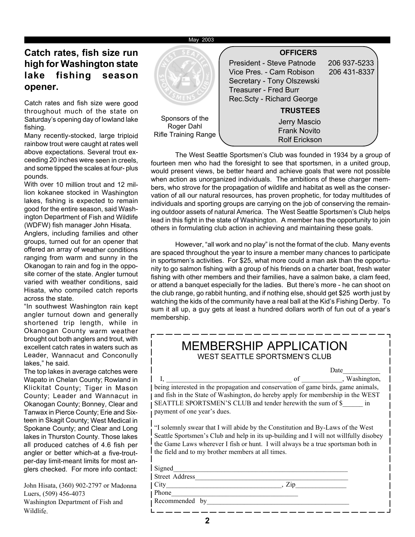#### May 2003

## **Catch rates, fish size run high for Washington state lake fishing season opener.**

Catch rates and fish size were good throughout much of the state on Saturday's opening day of lowland lake fishing.

Many recently-stocked, large triploid rainbow trout were caught at rates well above expectations. Several trout exceeding 20 inches were seen in creels, and some tipped the scales at four- plus pounds.

With over 10 million trout and 12 million kokanee stocked in Washington lakes, fishing is expected to remain good for the entire season, said Washington Department of Fish and Wildlife (WDFW) fish manager John Hisata.

Anglers, including families and other groups, turned out for an opener that offered an array of weather conditions ranging from warm and sunny in the Okanogan to rain and fog in the opposite corner of the state. Angler turnout varied with weather conditions, said Hisata, who compiled catch reports across the state.

"In southwest Washington rain kept angler turnout down and generally shortened trip length, while in Okanogan County warm weather brought out both anglers and trout, with excellent catch rates in waters such as Leader, Wannacut and Conconully lakes," he said.

The top lakes in average catches were Wapato in Chelan County; Rowland in Klickitat County; Tiger in Mason County; Leader and Wannacut in Okanogan County; Bonney, Clear and Tanwax in Pierce County; Erie and Sixteen in Skagit County; West Medical in Spokane County; and Clear and Long lakes in Thurston County. Those lakes all produced catches of 4.6 fish per angler or better which-at a five-troutper-day limit-meant limits for most anglers checked. For more info contact:

John Hisata, (360) 902-2797 or Madonna Luers, (509) 456-4073 Washington Department of Fish and Wildlife.



The West Seattle Sportsmen's Club was founded in 1934 by a group of fourteen men who had the foresight to see that sportsmen, in a united group, would present views, be better heard and achieve goals that were not possible when action as unorganized individuals. The ambitions of these charger members, who strove for the propagation of wildlife and habitat as well as the conservation of all our natural resources, has proven prophetic, for today multitudes of individuals and sporting groups are carrying on the job of conserving the remaining outdoor assets of natural America. The West Seattle Sportsmen's Club helps lead in this fight in the state of Washington. A member has the opportunity to join others in formulating club action in achieving and maintaining these goals.

However, "all work and no play" is not the format of the club. Many events are spaced throughout the year to insure a member many chances to participate in sportsmen's activities. For \$25, what more could a man ask than the opportunity to go salmon fishing with a group of his friends on a charter boat, fresh water fishing with other members and their families, have a salmon bake, a clam feed, or attend a banquet especially for the ladies. But there's more - he can shoot on the club range, go rabbit hunting, and if nothing else, should get \$25 worth just by watching the kids of the community have a real ball at the Kid's Fishing Derby. To sum it all up, a guy gets at least a hundred dollars worth of fun out of a year's membership.

| MEMBERSHIP APPLICATION<br><b>WEST SEATTLE SPORTSMEN'S CLUB</b>                                                                                                                                                                                                                                                    |
|-------------------------------------------------------------------------------------------------------------------------------------------------------------------------------------------------------------------------------------------------------------------------------------------------------------------|
| Date                                                                                                                                                                                                                                                                                                              |
| of , Washington,<br>being interested in the propagation and conservation of game birds, game animals,<br>and fish in the State of Washington, do hereby apply for membership in the WEST<br>SEATTLE SPORTSMEN'S CLUB and tender herewith the sum of \$ in<br>payment of one year's dues.                          |
| "I solemnly swear that I will abide by the Constitution and By-Laws of the West<br>Seattle Sportsmen's Club and help in its up-building and I will not willfully disobey<br>the Game Laws wherever I fish or hunt. I will always be a true sportsman both in<br>the field and to my brother members at all times. |
| Signed                                                                                                                                                                                                                                                                                                            |
| Street Address                                                                                                                                                                                                                                                                                                    |
| City<br>Zip                                                                                                                                                                                                                                                                                                       |
| Phone                                                                                                                                                                                                                                                                                                             |
| Recommended by                                                                                                                                                                                                                                                                                                    |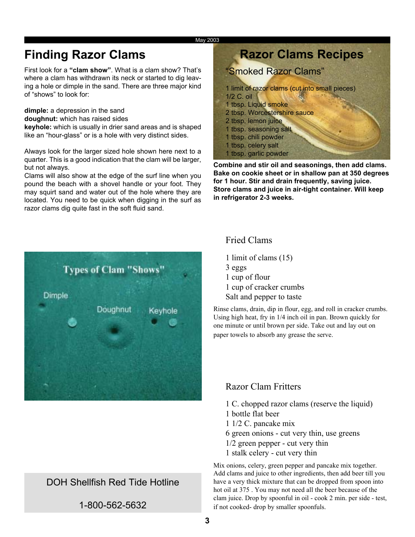#### May 2003

## **Finding Razor Clams**

First look for a **"clam show"**. What is a clam show? That's where a clam has withdrawn its neck or started to dig leaving a hole or dimple in the sand. There are three major kind of "shows" to look for:

**dimple:** a depression in the sand

**doughnut:** which has raised sides

**keyhole:** which is usually in drier sand areas and is shaped like an "hour-glass" or is a hole with very distinct sides.

Always look for the larger sized hole shown here next to a quarter. This is a good indication that the clam will be larger, but not always.

Clams will also show at the edge of the surf line when you pound the beach with a shovel handle or your foot. They may squirt sand and water out of the hole where they are located. You need to be quick when digging in the surf as razor clams dig quite fast in the soft fluid sand.

# **Types of Clam "Shows" Dimple** Doughnut Kevhole

## DOH Shellfish Red Tide Hotline

1-800-562-5632

| <b>Razor Clams Recipes</b>                          |
|-----------------------------------------------------|
| "Smoked Razor Clams"                                |
| 1 limit of razor clams (cut into small pieces)      |
| 1/2 C. oil<br>1 tbsp. Liquid smoke                  |
| 2 tbsp. Worcestershire sauce<br>2 tbsp. lemon juice |
| 1 tbsp. seasoning salt                              |
| 1 tbsp. chili powder<br>1 tbsp. celery salt         |
| 1 tbsp. garlic powder                               |

**Combine and stir oil and seasonings, then add clams. Bake on cookie sheet or in shallow pan at 350 degrees for 1 hour. Stir and drain frequently, saving juice. Store clams and juice in air-tight container. Will keep in refrigerator 2-3 weeks.**

## Fried Clams

1 limit of clams (15) 3 eggs 1 cup of flour 1 cup of cracker crumbs Salt and pepper to taste

Rinse clams, drain, dip in flour, egg, and roll in cracker crumbs. Using high heat, fry in 1/4 inch oil in pan. Brown quickly for one minute or until brown per side. Take out and lay out on paper towels to absorb any grease the serve.

## Razor Clam Fritters

- 1 C. chopped razor clams (reserve the liquid)
- 1 bottle flat beer
- 1 1/2 C. pancake mix
- 6 green onions cut very thin, use greens
- 1/2 green pepper cut very thin
- 1 stalk celery cut very thin

Mix onions, celery, green pepper and pancake mix together. Add clams and juice to other ingredients, then add beer till you have a very thick mixture that can be dropped from spoon into hot oil at 375 . You may not need all the beer because of the clam juice. Drop by spoonful in oil - cook 2 min. per side - test, if not cooked- drop by smaller spoonfuls.